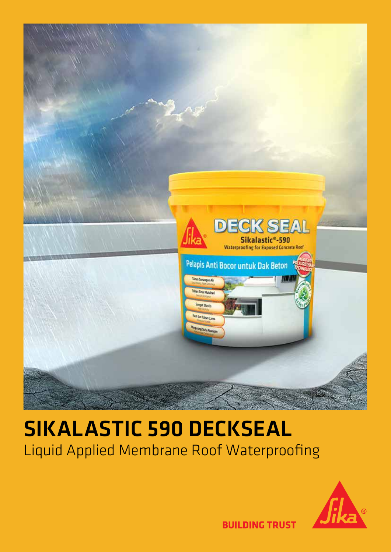

# SIKALASTIC 590 DECKSEAL Liquid Applied Membrane Roof Waterproofing

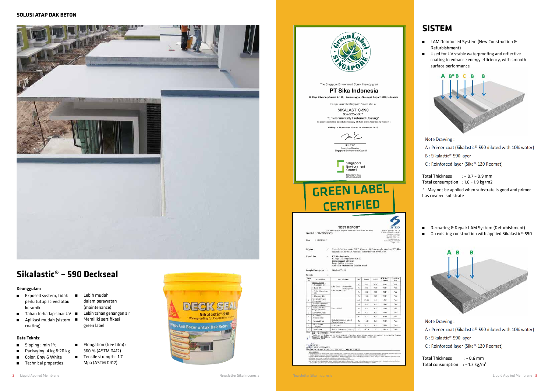# **Sikalastic**® **– 590 Deckseal**

#### Keunggulan:

- å Exposed system, tidak å Lebih mudah perlu tutup screed atau keramik
- 
- coating)

#### Data Teknis:

- **B** Sloping : min 1%
- å Packaging: 4 kg & 20 kg
- **E** Color: Grey & White
- **n** Technical properties:

Total Thickness : ~ 0.7 - 0.9 mm Total consumption : 1.6 – 1.9 kg/m2

- å LAM Reinforced System (New Construction & Refurbishment)
- **EXEC** Used for UV stable waterproofing and reflective coating to enhance energy efficiency, with smooth surface performance



Note Drawing:

- A: Primer coat (Sikalastic®-590 diluted with 10% water)
- B: Sikalastic®-590 layer
- C: Reinforced layer (Sika®-120 Reemat)

- dalam perawatan (maintenance)
- å Tahan terhadap sinar UV å Lebih tahan genangan air
- å Aplikasi mudah (sistem å Memiliki sertifikasi green label
	- **Elongation (free film)**:
		- 360 % (ASTM D412)
	- **a** Tensile strength : 1.7 Mpa (ASTM D412)



\* : May not be applied when substrate is good and primer has covered substrate

**E** Recoating & Repair LAM System (Refurbishment) ■ On existing construction with applied Sikalastic®-590



Note Drawing:

A: Primer coat (Sikalastic®-590 diluted with 10% water)

B: Sikalastic®-590 layer

C: Reinforced layer (Sika®-120 Reemat)

Total Thickness : ~ 0.6 mm Total consumption :  $\sim$  1.3 kg/m<sup>2</sup>



# **SISTEM**

| een<br>Labe                                                                                                            |                                                                                                                                                                                                                               |               |               |              |                             |                    |
|------------------------------------------------------------------------------------------------------------------------|-------------------------------------------------------------------------------------------------------------------------------------------------------------------------------------------------------------------------------|---------------|---------------|--------------|-----------------------------|--------------------|
|                                                                                                                        | The Singapore Environment Council hereby grant                                                                                                                                                                                |               |               |              |                             |                    |
|                                                                                                                        | PT Sika Indonesia                                                                                                                                                                                                             |               |               |              |                             |                    |
|                                                                                                                        | JL.Raya Cibinong-Bakasi Km 20, Limusnunggal, Cileungsi, Bogor 16820, Indonesia                                                                                                                                                |               |               |              |                             |                    |
|                                                                                                                        | the right to use the Singapore Green Label for                                                                                                                                                                                |               |               |              |                             |                    |
|                                                                                                                        | SIKALASTIC-590<br>032-225-3067                                                                                                                                                                                                |               |               |              |                             |                    |
|                                                                                                                        | "Environmentally Preferred Coating"                                                                                                                                                                                           |               |               |              |                             |                    |
|                                                                                                                        | (In accordance to SEC Geeen Label Category 32: Paint and Surface Coating Version 1)                                                                                                                                           |               |               |              |                             |                    |
|                                                                                                                        | Validity: 20 November 2018 to 19 November 2019                                                                                                                                                                                |               |               |              |                             |                    |
|                                                                                                                        | m En                                                                                                                                                                                                                          |               |               |              |                             |                    |
|                                                                                                                        | <b>JEN TEO</b>                                                                                                                                                                                                                |               |               |              |                             |                    |
|                                                                                                                        | Executive Director<br>Singapore Environment Council                                                                                                                                                                           |               |               |              |                             |                    |
|                                                                                                                        | Singapore<br>Environment<br>Council<br>1 Kay Siang Road<br>#07-01 S(248922)                                                                                                                                                   |               |               |              |                             |                    |
|                                                                                                                        | <b>CERTIFIED</b>                                                                                                                                                                                                              |               |               |              |                             |                    |
|                                                                                                                        | <b>TEST REPORT</b>                                                                                                                                                                                                            |               |               |              |                             |                    |
| Our Ref : CH-62184/YSP/2                                                                                               | (This Report is tested subject to the terms & conditions and out below)                                                                                                                                                       |               |               |              | Selaco Ser<br><b>JEDDIT</b> | Gargers Crescent   |
| Singapore 608925<br>6) 6664.777<br>Fax: (65) 6564 7718<br>www.lotsco.com<br>: 19/09/2017<br><b>Date</b><br>Page 1 of 1 |                                                                                                                                                                                                                               |               |               |              |                             |                    |
| Subject<br>ΞÏ                                                                                                          | Green Label test under SGLS Category 032 on sample submitted PT Sika<br>Indonesia on 31/08/2017 and test commenced on 04/09/2017.                                                                                             |               |               |              |                             |                    |
| <b>Tested For</b><br>÷.<br>Sample Description :                                                                        | PT Sika Indonesia<br>Jl. Raya Cibinong-Bekasi Km 20<br>Limusnunggal, Cileungsi<br>Bogor 16820, Indonesia<br>Attn: Mr Muhammad Bahtiar Ariof<br>Sikalastic®-590                                                                |               |               |              |                             |                    |
| Results<br>٠ź,                                                                                                         |                                                                                                                                                                                                                               |               |               |              |                             |                    |
| Item<br>Parameter<br>No.<br><b>Heavy Metals</b>                                                                        | <b>Test Method</b>                                                                                                                                                                                                            | Unit          | Result        | <b>RPL</b>   | <b>SGLS-032</b><br>Criteria | Justifica-<br>tion |
| · Cadmium (Cd)<br>· Lead (Pb)                                                                                          | EPA 3052 + Microwave<br>acid digestion                                                                                                                                                                                        | 46<br>%       | N.D.<br>N.D.  | 0.01<br>0.01 | N.D.<br>N.D.                | Pass<br>Piris      |
| · Total Chromium<br>(Ct)                                                                                               | EPA 6010B: ICP                                                                                                                                                                                                                | 96            | N.D.          | 0.01         | N.D.                        | Pass               |
| · Meetury (Hg)<br>Volatile Organic<br>2                                                                                |                                                                                                                                                                                                                               | $^{66}$<br>ýΙ | N.D.<br>37.08 | 0.01<br>1.0  | N.D.<br>$50*$               | Pais<br>Pass       |
| Compounds<br>Total Halogensted<br>3<br>Organic Solvent                                                                 | ISO 11890-2                                                                                                                                                                                                                   | 96            | ND.           | D.1          | N.D.                        | Pais               |
| Total Acomatic<br>$\overline{a}$<br>Organic Solvent                                                                    |                                                                                                                                                                                                                               | 碗             | N.D.          | 0.1          | N.D.                        | Pass               |
| 5<br>Epichlorohydrin<br>N-Methyl<br>6                                                                                  |                                                                                                                                                                                                                               | 34<br>w       | N.D.<br>ND.   | 0,1<br>0.1   | ND.<br>N.D.                 | Pasi<br>Pass       |
| Pyrrolidinone<br>ÿ<br>Formaldehyde                                                                                     | High Performance Liquid                                                                                                                                                                                                       | w             | N.D.          | 0.1          | ND.                         | Pass               |
| AB31 Phenol<br>ä<br>Ethoxylate                                                                                         | Chromatography:<br>LCMS-MS                                                                                                                                                                                                    | $\mathcal{H}$ | N.D.          | 0.1          | ND.                         | Pass               |
| q<br><b>Flash Point</b><br>N.D. - Not Detected (< Reporting Limit)<br>Note                                             | ASTM D3828-12a (Prec B)                                                                                                                                                                                                       | ٣Ć            | >61.0         | i.           | $=65.0$                     | Pass               |
| t                                                                                                                      | nyt. - Howens Link<br>1911 - Howens Link of Mich Phenol Ethoxylate were performed in conjunction with Bareau Verkies<br>Tests for Formaldenyde & Alleyl Paint in conjunction with Inspectorate (S) Pte Ltd<br>*Ethonion, Mail |               |               |              |                             |                    |
| SIOW PEI                                                                                                               |                                                                                                                                                                                                                               |               |               |              |                             |                    |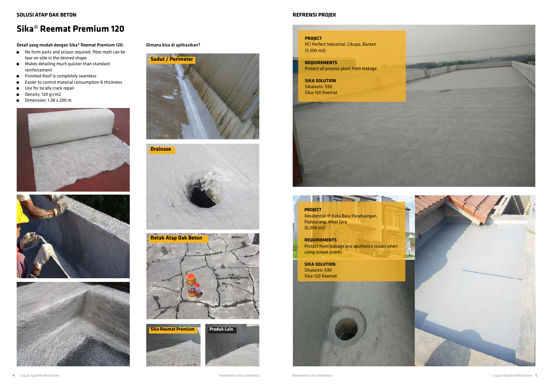

- å No form parts and scissor required, fibre matt can be tear on side in the desired shape
- $\blacksquare$  Makes detailing much quicker than standard reinforcement
- **EXECUTE:** Finished Roof is completely seamless
- å Easier to control material consumption & thickness
- **u** Use for locally crack repair
- Density: 120 gr/m2
- **Dimension:** 1.38  $\times$  200 m







## **Sika**® **Reemat Premium 120**

Detail yang mudah dengan Sika® Reemat Premium 120:

#### Dimana bisa di aplikasikan?









#### **REFRENSI PROJEK**



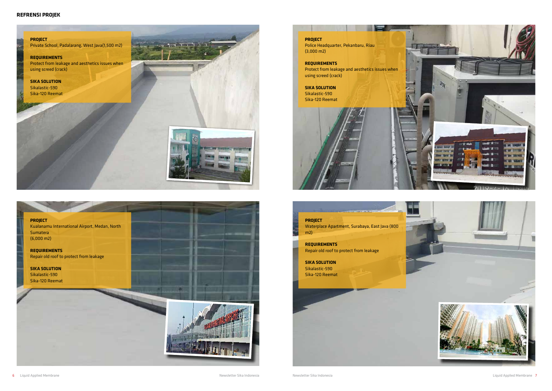#### **REFRENSI PROJEK**

#### **PROJECT**

Private School, Padalarang, West Java(1,500 m2)

#### **REQUIREMENTS**

Protect from leakage and aesthetics issues when using screed (crack)

**SIKA SOLUTION** Sikalastic-590 Sika-120 Reemat







**PROJECT** Waterplace Apartment, Surabaya, East Java (800  $m2$ **REQUIREMENTS** Repair old roof to protect from leakage **SIKA SOLUTION** Sikalastic-590 Sika-120 Reemat

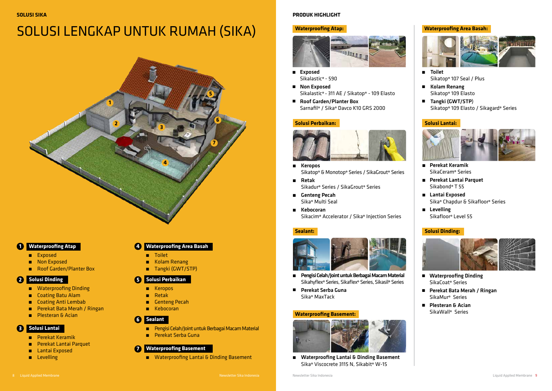**SOLUSI SIKA**

# SOLUSI LENGKAP UNTUK RUMAH (SIKA)

- **E** Keropos
- å Retak
- **a** Genteng Pecah
- å Kebocoran

- å Perekat Keramik
- å Perekat Lantai Parquet
- **Exposed**
- **a** Levelling
- å Toilet
- **Kolam Renang**
- **a** Tangki (GWT/STP)

## **Waterproofing Atap 1 4**

- **Exposed**
- **Non Exposed**
- **Roof Garden/Planter Box**

### **Solusi Perbaikan 5**

- å Pengisi Celah/Joint untuk Berbagai Macam Material
- å Perekat Serba Guna

### **Solusi Dinding 2**

- **a** Waterproofing Dinding
- $\blacksquare$  Coating Batu Alam
- **a** Coating Anti Lembab
- å Perekat Bata Merah / Ringan
- **Resteran & Acian**
- **Exposed** Sikalastic® - 590
- **Non Exposed** Sikalastic® - 311 AE / Sikatop® - 109 Elasto
- Roof Garden/Planter Box Sarnafil® / Sika® Davco K10 GRS 2000

### **Sealant 6**

### **Solusi Lantai 3**

### **Waterproofing Area Basah**

- Kolam Renang Sikatop® 109 Elasto
- Tangki (GWT/STP) Sikatop® 109 Elasto / Sikagard® Series



### **7 Waterproofing Basement**

 $\blacksquare$  Waterproofing Lantai & Dinding Basement

- E Keropos Sikatop® & Monotop® Series / SikaGrout® Series
- **Retak** Sikadur® Series / SikaGrout® Series
- Genteng Pecah Sika® Multi Seal
- ▆ Kebocoran Sikacim® Accelerator / Sika® Injection Series

#### **PRODUK HIGHLIGHT**

#### **Waterproofing Atap:**



#### **Waterproofing Area Basah:**



- $\blacksquare$ Pengisi Celah/Joint untuk Berbagai Macam Material Sikahyflex® Series, Sikaflex® Series, Sikasil® Series
- Perekat Serba Guna Sika® MaxTack





#### **Solusi Lantai:**





- Perekat Keramik SikaCeram® Series
- Perekat Lantai Parquet Sikabond® T 55
- **Lantai Exposed** Sika® Chapdur & Sikafloor® Series
- **E** Levelling Sikafloor® Level 55

Toilet Sikatop® 107 Seal / Plus

#### **Solusi Perbaikan:**



#### **Solusi Dinding:**



- Waterproofing Dinding SikaCoat® Series
- Perekat Bata Merah / Ringan SikaMur® Series
- **Plesteran & Acian** SikaWall® Series

#### **Sealant:**



#### **Waterproofing Basement:**



 Waterproofing Lantai & Dinding Basement Sika® Viscocrete 3115 N, Sikabit® W-15